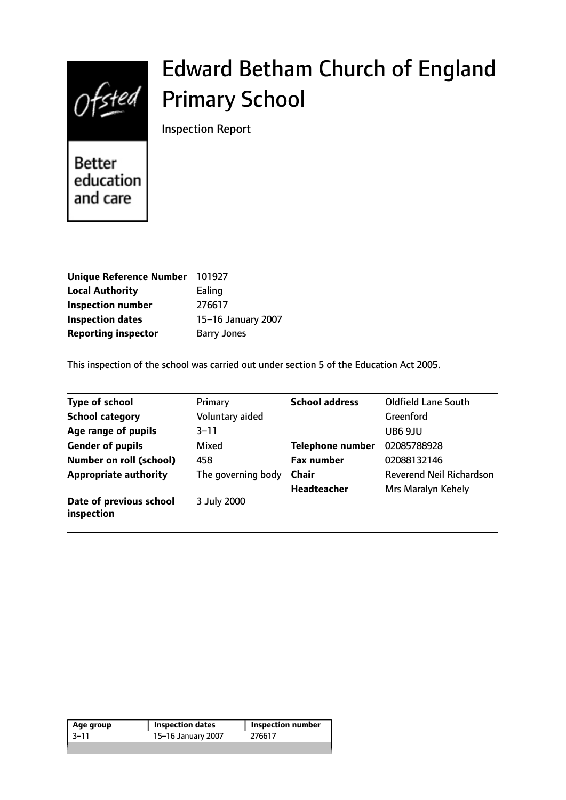

# Edward Betham Church of England Primary School

Inspection Report

**Better** education and care

| <b>Unique Reference Number</b> | 101927             |
|--------------------------------|--------------------|
| <b>Local Authority</b>         | Ealing             |
| <b>Inspection number</b>       | 276617             |
| <b>Inspection dates</b>        | 15-16 January 2007 |
| <b>Reporting inspector</b>     | <b>Barry Jones</b> |

This inspection of the school was carried out under section 5 of the Education Act 2005.

| <b>Type of school</b>                 | Primary            | <b>School address</b>   | <b>Oldfield Lane South</b>      |
|---------------------------------------|--------------------|-------------------------|---------------------------------|
| <b>School category</b>                | Voluntary aided    |                         | <b>Greenford</b>                |
| Age range of pupils                   | $3 - 11$           |                         | UB6 9JU                         |
| <b>Gender of pupils</b>               | Mixed              | <b>Telephone number</b> | 02085788928                     |
| <b>Number on roll (school)</b>        | 458                | <b>Fax number</b>       | 02088132146                     |
| <b>Appropriate authority</b>          | The governing body | <b>Chair</b>            | <b>Reverend Neil Richardson</b> |
|                                       |                    | <b>Headteacher</b>      | Mrs Maralyn Kehely              |
| Date of previous school<br>inspection | 3 July 2000        |                         |                                 |

| Age group | <b>Inspection dates</b> | <b>Inspection number</b> |
|-----------|-------------------------|--------------------------|
| -3–11     | 15-16 January 2007      | 276617                   |
|           |                         |                          |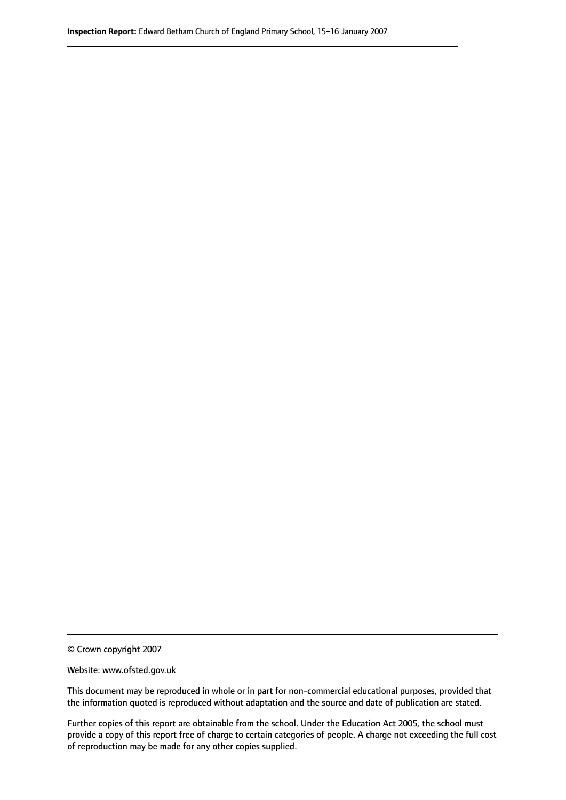© Crown copyright 2007

Website: www.ofsted.gov.uk

This document may be reproduced in whole or in part for non-commercial educational purposes, provided that the information quoted is reproduced without adaptation and the source and date of publication are stated.

Further copies of this report are obtainable from the school. Under the Education Act 2005, the school must provide a copy of this report free of charge to certain categories of people. A charge not exceeding the full cost of reproduction may be made for any other copies supplied.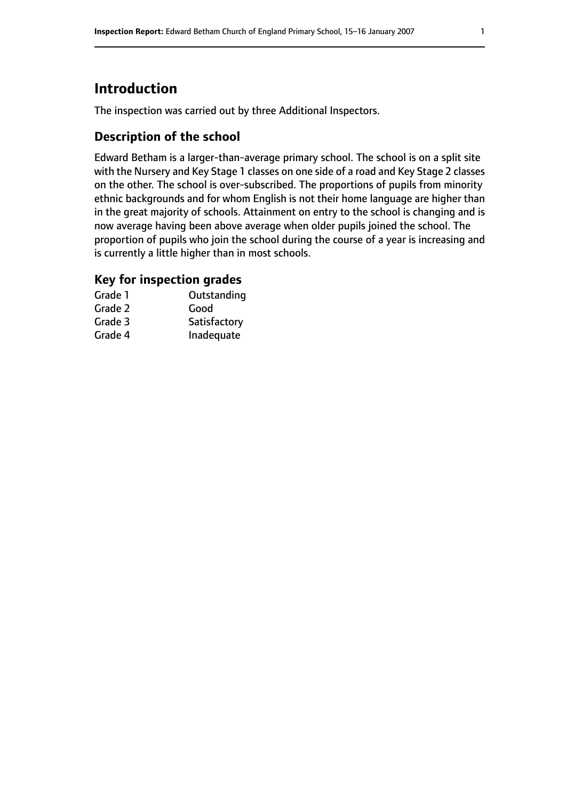## **Introduction**

The inspection was carried out by three Additional Inspectors.

### **Description of the school**

Edward Betham is a larger-than-average primary school. The school is on a split site with the Nursery and Key Stage 1 classes on one side of a road and Key Stage 2 classes on the other. The school is over-subscribed. The proportions of pupils from minority ethnic backgrounds and for whom English is not their home language are higher than in the great majority of schools. Attainment on entry to the school is changing and is now average having been above average when older pupils joined the school. The proportion of pupils who join the school during the course of a year is increasing and is currently a little higher than in most schools.

#### **Key for inspection grades**

| Grade 1 | Outstanding  |
|---------|--------------|
| Grade 2 | Good         |
| Grade 3 | Satisfactory |
| Grade 4 | Inadequate   |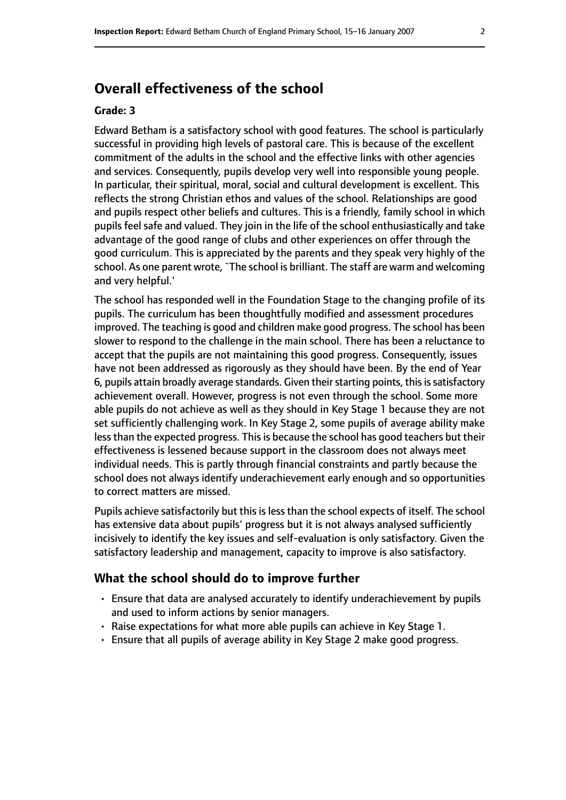## **Overall effectiveness of the school**

#### **Grade: 3**

Edward Betham is a satisfactory school with good features. The school is particularly successful in providing high levels of pastoral care. This is because of the excellent commitment of the adults in the school and the effective links with other agencies and services. Consequently, pupils develop very well into responsible young people. In particular, their spiritual, moral, social and cultural development is excellent. This reflects the strong Christian ethos and values of the school. Relationships are good and pupils respect other beliefs and cultures. This is a friendly, family school in which pupils feel safe and valued. They join in the life of the school enthusiastically and take advantage of the good range of clubs and other experiences on offer through the good curriculum. This is appreciated by the parents and they speak very highly of the school. As one parent wrote,`The school is brilliant. The staff are warm and welcoming and very helpful.'

The school has responded well in the Foundation Stage to the changing profile of its pupils. The curriculum has been thoughtfully modified and assessment procedures improved. The teaching is good and children make good progress. The school has been slower to respond to the challenge in the main school. There has been a reluctance to accept that the pupils are not maintaining this good progress. Consequently, issues have not been addressed as rigorously as they should have been. By the end of Year 6, pupils attain broadly average standards. Given their starting points, this is satisfactory achievement overall. However, progress is not even through the school. Some more able pupils do not achieve as well as they should in Key Stage 1 because they are not set sufficiently challenging work. In Key Stage 2, some pupils of average ability make less than the expected progress. This is because the school has good teachers but their effectiveness is lessened because support in the classroom does not always meet individual needs. This is partly through financial constraints and partly because the school does not always identify underachievement early enough and so opportunities to correct matters are missed.

Pupils achieve satisfactorily but this is less than the school expects of itself. The school has extensive data about pupils' progress but it is not always analysed sufficiently incisively to identify the key issues and self-evaluation is only satisfactory. Given the satisfactory leadership and management, capacity to improve is also satisfactory.

#### **What the school should do to improve further**

- Ensure that data are analysed accurately to identify underachievement by pupils and used to inform actions by senior managers.
- Raise expectations for what more able pupils can achieve in Key Stage 1.
- Ensure that all pupils of average ability in Key Stage 2 make good progress.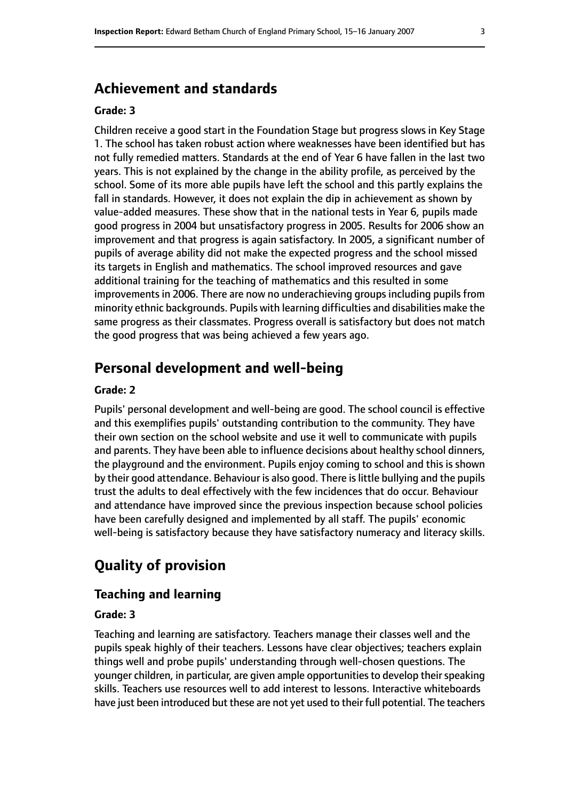## **Achievement and standards**

#### **Grade: 3**

Children receive a good start in the Foundation Stage but progress slows in Key Stage 1. The school has taken robust action where weaknesses have been identified but has not fully remedied matters. Standards at the end of Year 6 have fallen in the last two years. This is not explained by the change in the ability profile, as perceived by the school. Some of its more able pupils have left the school and this partly explains the fall in standards. However, it does not explain the dip in achievement as shown by value-added measures. These show that in the national tests in Year 6, pupils made good progress in 2004 but unsatisfactory progress in 2005. Results for 2006 show an improvement and that progress is again satisfactory. In 2005, a significant number of pupils of average ability did not make the expected progress and the school missed its targets in English and mathematics. The school improved resources and gave additional training for the teaching of mathematics and this resulted in some improvements in 2006. There are now no underachieving groups including pupils from minority ethnic backgrounds. Pupils with learning difficulties and disabilities make the same progress as their classmates. Progress overall is satisfactory but does not match the good progress that was being achieved a few years ago.

## **Personal development and well-being**

#### **Grade: 2**

Pupils' personal development and well-being are good. The school council is effective and this exemplifies pupils' outstanding contribution to the community. They have their own section on the school website and use it well to communicate with pupils and parents. They have been able to influence decisions about healthy school dinners, the playground and the environment. Pupils enjoy coming to school and this is shown by their good attendance. Behaviour is also good. There is little bullying and the pupils trust the adults to deal effectively with the few incidences that do occur. Behaviour and attendance have improved since the previous inspection because school policies have been carefully designed and implemented by all staff. The pupils' economic well-being is satisfactory because they have satisfactory numeracy and literacy skills.

## **Quality of provision**

#### **Teaching and learning**

#### **Grade: 3**

Teaching and learning are satisfactory. Teachers manage their classes well and the pupils speak highly of their teachers. Lessons have clear objectives; teachers explain things well and probe pupils' understanding through well-chosen questions. The younger children, in particular, are given ample opportunities to develop their speaking skills. Teachers use resources well to add interest to lessons. Interactive whiteboards have just been introduced but these are not yet used to their full potential. The teachers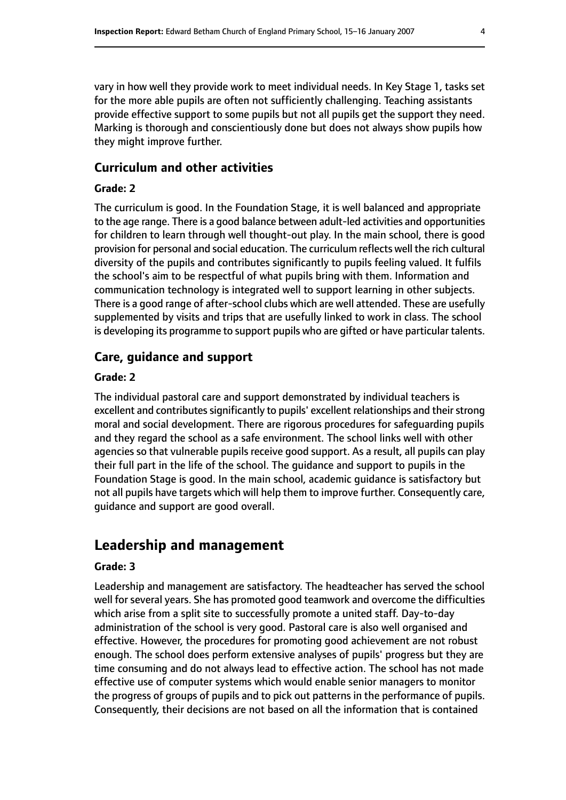vary in how well they provide work to meet individual needs. In Key Stage 1, tasks set for the more able pupils are often not sufficiently challenging. Teaching assistants provide effective support to some pupils but not all pupils get the support they need. Marking is thorough and conscientiously done but does not always show pupils how they might improve further.

#### **Curriculum and other activities**

#### **Grade: 2**

The curriculum is good. In the Foundation Stage, it is well balanced and appropriate to the age range. There is a good balance between adult-led activities and opportunities for children to learn through well thought-out play. In the main school, there is good provision for personal and social education. The curriculum reflects well the rich cultural diversity of the pupils and contributes significantly to pupils feeling valued. It fulfils the school's aim to be respectful of what pupils bring with them. Information and communication technology is integrated well to support learning in other subjects. There is a good range of after-school clubs which are well attended. These are usefully supplemented by visits and trips that are usefully linked to work in class. The school is developing its programme to support pupils who are gifted or have particular talents.

#### **Care, guidance and support**

#### **Grade: 2**

The individual pastoral care and support demonstrated by individual teachers is excellent and contributes significantly to pupils' excellent relationships and their strong moral and social development. There are rigorous procedures for safeguarding pupils and they regard the school as a safe environment. The school links well with other agencies so that vulnerable pupils receive good support. As a result, all pupils can play their full part in the life of the school. The guidance and support to pupils in the Foundation Stage is good. In the main school, academic guidance is satisfactory but not all pupils have targets which will help them to improve further. Consequently care, guidance and support are good overall.

## **Leadership and management**

#### **Grade: 3**

Leadership and management are satisfactory. The headteacher has served the school well for several years. She has promoted good teamwork and overcome the difficulties which arise from a split site to successfully promote a united staff. Day-to-day administration of the school is very good. Pastoral care is also well organised and effective. However, the procedures for promoting good achievement are not robust enough. The school does perform extensive analyses of pupils' progress but they are time consuming and do not always lead to effective action. The school has not made effective use of computer systems which would enable senior managers to monitor the progress of groups of pupils and to pick out patterns in the performance of pupils. Consequently, their decisions are not based on all the information that is contained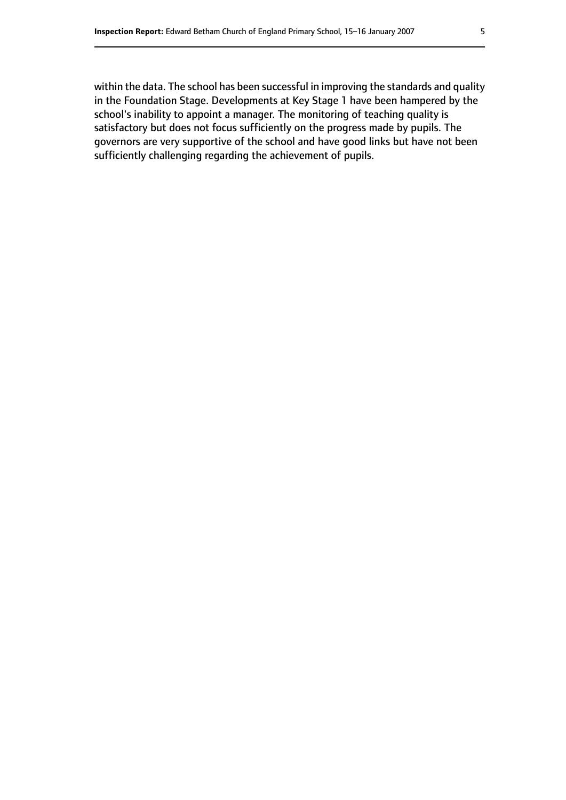within the data. The school has been successful in improving the standards and quality in the Foundation Stage. Developments at Key Stage 1 have been hampered by the school's inability to appoint a manager. The monitoring of teaching quality is satisfactory but does not focus sufficiently on the progress made by pupils. The governors are very supportive of the school and have good links but have not been sufficiently challenging regarding the achievement of pupils.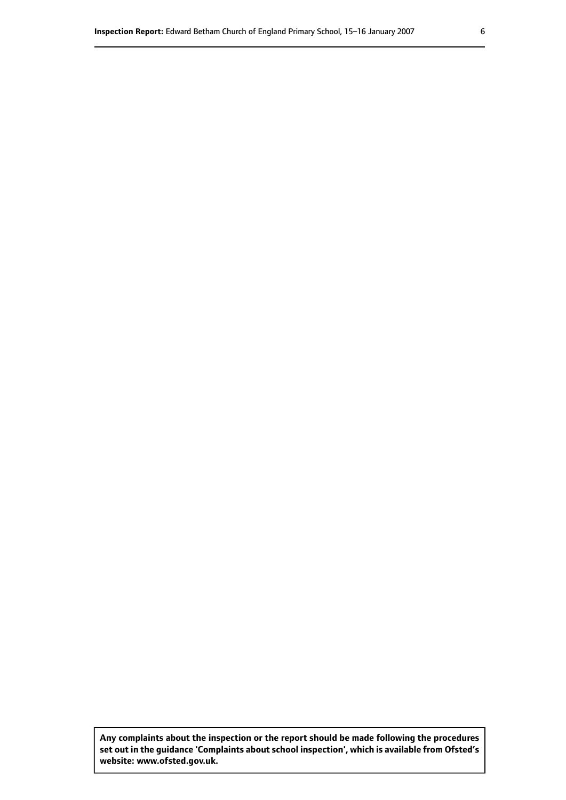**Any complaints about the inspection or the report should be made following the procedures set out inthe guidance 'Complaints about school inspection', whichis available from Ofsted's website: www.ofsted.gov.uk.**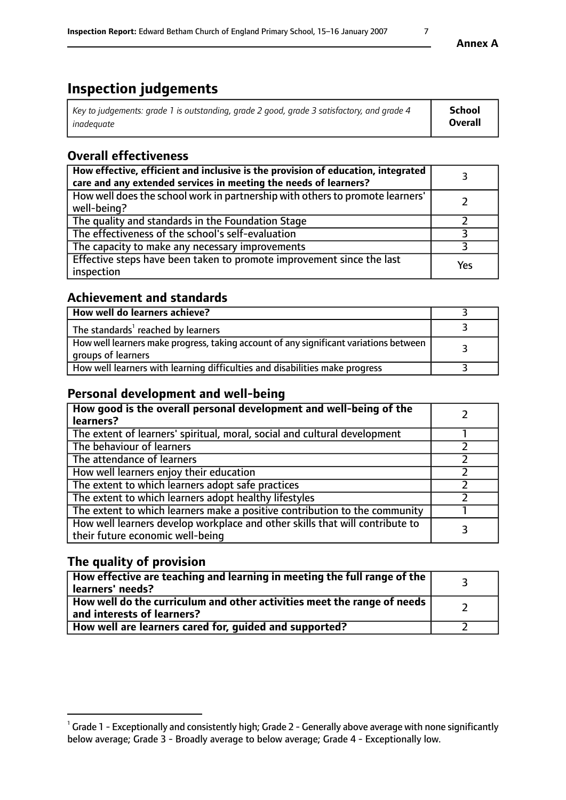# **Inspection judgements**

| Key to judgements: grade 1 is outstanding, grade 2 good, grade 3 satisfactory, and grade 4 | School         |
|--------------------------------------------------------------------------------------------|----------------|
| inadeauate                                                                                 | <b>Overall</b> |

## **Overall effectiveness**

| How effective, efficient and inclusive is the provision of education, integrated<br>care and any extended services in meeting the needs of learners? |     |
|------------------------------------------------------------------------------------------------------------------------------------------------------|-----|
| How well does the school work in partnership with others to promote learners'<br>well-being?                                                         |     |
| The quality and standards in the Foundation Stage                                                                                                    |     |
| The effectiveness of the school's self-evaluation                                                                                                    |     |
| The capacity to make any necessary improvements                                                                                                      |     |
| Effective steps have been taken to promote improvement since the last<br>inspection                                                                  | Yes |

## **Achievement and standards**

| How well do learners achieve?                                                                               |  |
|-------------------------------------------------------------------------------------------------------------|--|
| The standards <sup>1</sup> reached by learners                                                              |  |
| How well learners make progress, taking account of any significant variations between<br>groups of learners |  |
| How well learners with learning difficulties and disabilities make progress                                 |  |

## **Personal development and well-being**

| How good is the overall personal development and well-being of the<br>learners?                                  |  |
|------------------------------------------------------------------------------------------------------------------|--|
| The extent of learners' spiritual, moral, social and cultural development                                        |  |
| The behaviour of learners                                                                                        |  |
| The attendance of learners                                                                                       |  |
| How well learners enjoy their education                                                                          |  |
| The extent to which learners adopt safe practices                                                                |  |
| The extent to which learners adopt healthy lifestyles                                                            |  |
| The extent to which learners make a positive contribution to the community                                       |  |
| How well learners develop workplace and other skills that will contribute to<br>their future economic well-being |  |

## **The quality of provision**

| How effective are teaching and learning in meeting the full range of the<br>learners' needs?          |  |
|-------------------------------------------------------------------------------------------------------|--|
| How well do the curriculum and other activities meet the range of needs<br>and interests of learners? |  |
| How well are learners cared for, guided and supported?                                                |  |

 $^1$  Grade 1 - Exceptionally and consistently high; Grade 2 - Generally above average with none significantly below average; Grade 3 - Broadly average to below average; Grade 4 - Exceptionally low.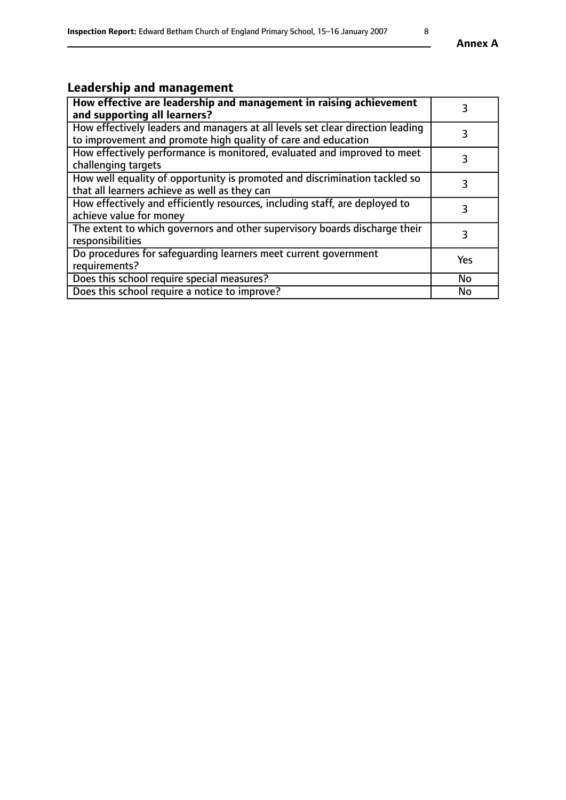## **Leadership and management**

| How effective are leadership and management in raising achievement<br>and supporting all learners?                                              | 3         |
|-------------------------------------------------------------------------------------------------------------------------------------------------|-----------|
| How effectively leaders and managers at all levels set clear direction leading<br>to improvement and promote high quality of care and education |           |
| How effectively performance is monitored, evaluated and improved to meet<br>challenging targets                                                 | 3         |
| How well equality of opportunity is promoted and discrimination tackled so<br>that all learners achieve as well as they can                     |           |
| How effectively and efficiently resources, including staff, are deployed to<br>achieve value for money                                          | 3         |
| The extent to which governors and other supervisory boards discharge their<br>responsibilities                                                  | 3         |
| Do procedures for safeguarding learners meet current government<br>requirements?                                                                | Yes       |
| Does this school require special measures?                                                                                                      | <b>No</b> |
| Does this school require a notice to improve?                                                                                                   | <b>No</b> |